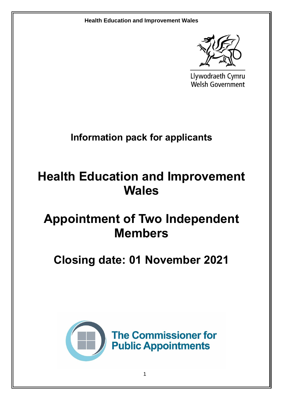

Llywodraeth Cymru **Welsh Government** 

**Information pack for applicants**

# **Health Education and Improvement Wales**

# **Appointment of Two Independent Members**

# **Closing date: 01 November 2021**

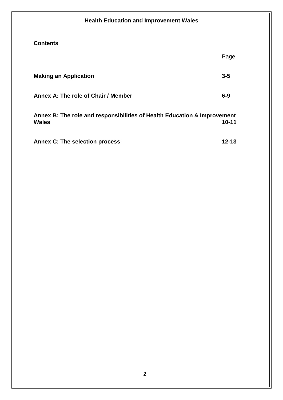# **Health Education and Improvement Wales Contents** Page **Making an Application 3-5** Annex A: The role of Chair / Member 6-9 **Annex B: The role and responsibilities of Health Education & Improvement Wales 10-11 Annex C: The selection process 12-13**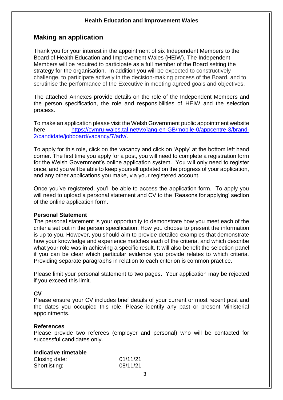### **Making an application**

Thank you for your interest in the appointment of six Independent Members to the Board of Health Education and Improvement Wales (HEIW). The Independent Members will be required to participate as a full member of the Board setting the strategy for the organisation. In addition you will be expected to constructively challenge, to participate actively in the decision-making process of the Board, and to scrutinise the performance of the Executive in meeting agreed goals and objectives.

The attached Annexes provide details on the role of the Independent Members and the person specification, the role and responsibilities of HEIW and the selection process.

To make an application please visit the Welsh Government public appointment website here [https://cymru-wales.tal.net/vx/lang-en-GB/mobile-0/appcentre-3/brand-](https://cymru-wales.tal.net/vx/lang-en-GB/mobile-0/appcentre-3/brand-2/candidate/jobboard/vacancy/7/adv/)[2/candidate/jobboard/vacancy/7/adv/.](https://cymru-wales.tal.net/vx/lang-en-GB/mobile-0/appcentre-3/brand-2/candidate/jobboard/vacancy/7/adv/)

To apply for this role, click on the vacancy and click on 'Apply' at the bottom left hand corner. The first time you apply for a post, you will need to complete a registration form for the Welsh Government's online application system. You will only need to register once, and you will be able to keep yourself updated on the progress of your application, and any other applications you make, via your registered account.

Once you've registered, you'll be able to access the application form. To apply you will need to upload a personal statement and CV to the 'Reasons for applying' section of the online application form.

#### **Personal Statement**

The personal statement is your opportunity to demonstrate how you meet each of the criteria set out in the person specification. How you choose to present the information is up to you. However, you should aim to provide detailed examples that demonstrate how your knowledge and experience matches each of the criteria, and which describe what your role was in achieving a specific result. It will also benefit the selection panel if you can be clear which particular evidence you provide relates to which criteria. Providing separate paragraphs in relation to each criterion is common practice.

Please limit your personal statement to two pages. Your application may be rejected if you exceed this limit.

#### **CV**

Please ensure your CV includes brief details of your current or most recent post and the dates you occupied this role. Please identify any past or present Ministerial appointments.

#### **References**

Please provide two referees (employer and personal) who will be contacted for successful candidates only.

#### **Indicative timetable**

| Closing date: | 01/11/21 |
|---------------|----------|
| Shortlisting: | 08/11/21 |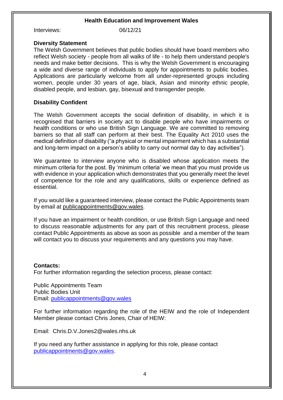Interviews: 06/12/21

#### **Diversity Statement**

The Welsh Government believes that public bodies should have board members who reflect Welsh society - people from all walks of life - to help them understand people's needs and make better decisions. This is why the Welsh Government is encouraging a wide and diverse range of individuals to apply for appointments to public bodies. Applications are particularly welcome from all under-represented groups including women, people under 30 years of age, black, Asian and minority ethnic people, disabled people, and lesbian, gay, bisexual and transgender people.

#### **Disability Confident**

The Welsh Government accepts the social definition of disability, in which it is recognised that barriers in society act to disable people who have impairments or health conditions or who use British Sign Language. We are committed to removing barriers so that all staff can perform at their best. The Equality Act 2010 uses the medical definition of disability ("a physical or mental impairment which has a substantial and long-term impact on a person's ability to carry out normal day to day activities").

We guarantee to interview anyone who is disabled whose application meets the minimum criteria for the post. By 'minimum criteria' we mean that you must provide us with evidence in your application which demonstrates that you generally meet the level of competence for the role and any qualifications, skills or experience defined as essential.

If you would like a guaranteed interview, please contact the Public Appointments team by email at [publicappointments@gov.wales.](mailto:publicappointments@gov.wales)

If you have an impairment or health condition, or use British Sign Language and need to discuss reasonable adjustments for any part of this recruitment process, please contact Public Appointments as above as soon as possible and a member of the team will contact you to discuss your requirements and any questions you may have.

#### **Contacts:**

For further information regarding the selection process, please contact:

Public Appointments Team Public Bodies Unit Email: [publicappointments@gov.wales](mailto:publicappointments@gov.wales)

For further information regarding the role of the HEIW and the role of Independent Member please contact Chris Jones, Chair of HEIW:

Email: Chris.D.V.Jones2@wales.nhs.uk

If you need any further assistance in applying for this role, please contact [publicappointments@gov.wales.](mailto:publicappointments@gov.wales)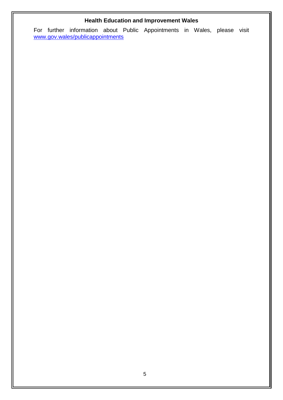For further information about Public Appointments in Wales, please visit [www.gov.wales/publicappointments](http://www.gov.wales/publicappointments)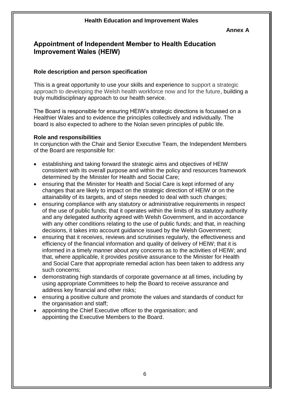#### **Annex A**

## **Appointment of Independent Member to Health Education Improvement Wales (HEIW)**

#### **Role description and person specification**

This is a great opportunity to use your skills and experience to support a strategic approach to developing the Welsh health workforce now and for the future, building a truly multidisciplinary approach to our health service.

The Board is responsible for ensuring HEIW's strategic directions is focussed on a Healthier Wales and to evidence the principles collectively and individually. The board is also expected to adhere to the Nolan seven principles of public life.

#### **Role and responsibilities**

In conjunction with the Chair and Senior Executive Team, the Independent Members of the Board are responsible for:

- establishing and taking forward the strategic aims and objectives of HEIW consistent with its overall purpose and within the policy and resources framework determined by the Minister for Health and Social Care;
- ensuring that the Minister for Health and Social Care is kept informed of any changes that are likely to impact on the strategic direction of HEIW or on the attainability of its targets, and of steps needed to deal with such changes;
- ensuring compliance with any statutory or administrative requirements in respect of the use of public funds; that it operates within the limits of its statutory authority and any delegated authority agreed with Welsh Government, and in accordance with any other conditions relating to the use of public funds; and that, in reaching decisions, it takes into account guidance issued by the Welsh Government;
- ensuring that it receives, reviews and scrutinises regularly, the effectiveness and efficiency of the financial information and quality of delivery of HEIW; that it is informed in a timely manner about any concerns as to the activities of HEIW; and that, where applicable, it provides positive assurance to the Minister for Health and Social Care that appropriate remedial action has been taken to address any such concerns;
- demonstrating high standards of corporate governance at all times, including by using appropriate Committees to help the Board to receive assurance and address key financial and other risks;
- ensuring a positive culture and promote the values and standards of conduct for the organisation and staff;
- appointing the Chief Executive officer to the organisation; and appointing the Executive Members to the Board.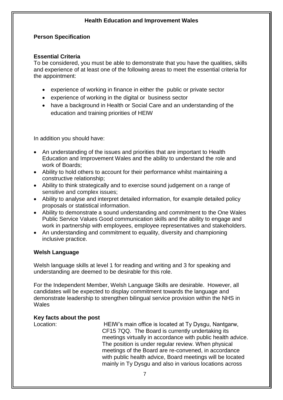#### **Person Specification**

#### **Essential Criteria**

To be considered, you must be able to demonstrate that you have the qualities, skills and experience of at least one of the following areas to meet the essential criteria for the appointment:

- experience of working in finance in either the public or private sector
- experience of working in the digital or business sector
- have a background in Health or Social Care and an understanding of the education and training priorities of HEIW

In addition you should have:

- An understanding of the issues and priorities that are important to Health Education and Improvement Wales and the ability to understand the role and work of Boards;
- Ability to hold others to account for their performance whilst maintaining a constructive relationship;
- Ability to think strategically and to exercise sound judgement on a range of sensitive and complex issues;
- Ability to analyse and interpret detailed information, for example detailed policy proposals or statistical information.
- Ability to demonstrate a sound understanding and commitment to the One Wales Public Service Values Good communication skills and the ability to engage and work in partnership with employees, employee representatives and stakeholders.
- An understanding and commitment to equality, diversity and championing inclusive practice.

#### **Welsh Language**

Welsh language skills at level 1 for reading and writing and 3 for speaking and understanding are deemed to be desirable for this role.

For the Independent Member, Welsh Language Skills are desirable. However, all candidates will be expected to display commitment towards the language and demonstrate leadership to strengthen bilingual service provision within the NHS in **Wales** 

#### **Key facts about the post**

Location: HEIW's main office is located at Ty Dysgu, Nantgarw, CF15 7QQ. The Board is currently undertaking its meetings virtually in accordance with public health advice. The position is under regular review. When physical meetings of the Board are re-convened, in accordance with public health advice, Board meetings will be located mainly in Ty Dysgu and also in various locations across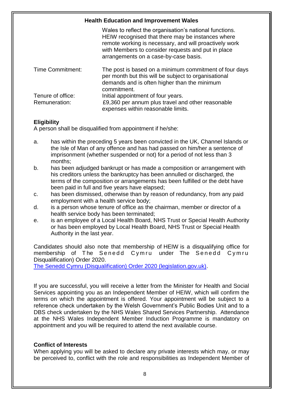| <b>Health Education and Improvement Wales</b> |                                                                                                                                                                                                                                                                       |
|-----------------------------------------------|-----------------------------------------------------------------------------------------------------------------------------------------------------------------------------------------------------------------------------------------------------------------------|
|                                               | Wales to reflect the organisation's national functions.<br>HEIW recognised that there may be instances where<br>remote working is necessary, and will proactively work<br>with Members to consider requests and put in place<br>arrangements on a case-by-case basis. |
| <b>Time Commitment:</b>                       | The post is based on a minimum commitment of four days<br>per month but this will be subject to organisational<br>demands and is often higher than the minimum<br>commitment.                                                                                         |
| Tenure of office:<br>Remuneration:            | Initial appointment of four years.<br>£9,360 per annum plus travel and other reasonable<br>expenses within reasonable limits.                                                                                                                                         |

#### **Eligibility**

A person shall be disqualified from appointment if he/she:

- a. has within the preceding 5 years been convicted in the UK, Channel Islands or the Isle of Man of any offence and has had passed on him/her a sentence of imprisonment (whether suspended or not) for a period of not less than 3 months;
- b. has been adjudged bankrupt or has made a composition or arrangement with his creditors unless the bankruptcy has been annulled or discharged, the terms of the composition or arrangements has been fulfilled or the debt have been paid in full and five years have elapsed;
- c. has been dismissed, otherwise than by reason of redundancy, from any paid employment with a health service body;
- d. is a person whose tenure of office as the chairman, member or director of a health service body has been terminated;
- e. is an employee of a Local Health Board, NHS Trust or Special Health Authority or has been employed by Local Health Board, NHS Trust or Special Health Authority in the last year.

Candidates should also note that membership of HEIW is a disqualifying office for membership of The Senedd Cymru under The Senedd Cymru Disqualification) Order 2020.

[The Senedd Cymru \(Disqualification\) Order 2020 \(legislation.gov.uk\).](https://www.legislation.gov.uk/uksi/2020/1255/schedule/made)

If you are successful, you will receive a letter from the Minister for Health and Social Services appointing you as an Independent Member of HEIW, which will confirm the terms on which the appointment is offered. Your appointment will be subject to a reference check undertaken by the Welsh Government's Public Bodies Unit and to a DBS check undertaken by the NHS Wales Shared Services Partnership. Attendance at the NHS Wales Independent Member Induction Programme is mandatory on appointment and you will be required to attend the next available course.

#### **Conflict of Interests**

When applying you will be asked to declare any private interests which may, or may be perceived to, conflict with the role and responsibilities as Independent Member of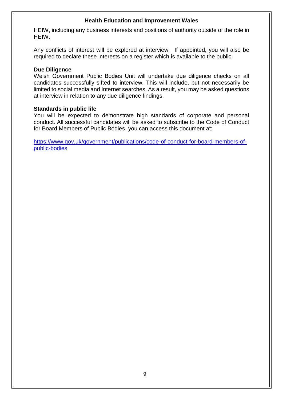HEIW, including any business interests and positions of authority outside of the role in HEIW.

Any conflicts of interest will be explored at interview. If appointed, you will also be required to declare these interests on a register which is available to the public.

#### **Due Diligence**

Welsh Government Public Bodies Unit will undertake due diligence checks on all candidates successfully sifted to interview. This will include, but not necessarily be limited to social media and Internet searches. As a result, you may be asked questions at interview in relation to any due diligence findings.

#### **Standards in public life**

You will be expected to demonstrate high standards of corporate and personal conduct. All successful candidates will be asked to subscribe to the Code of Conduct for Board Members of Public Bodies, you can access this document at:

[https://www.gov.uk/government/publications/code-of-conduct-for-board-members-of](https://www.gov.uk/government/publications/code-of-conduct-for-board-members-of-public-bodies)[public-bodies](https://www.gov.uk/government/publications/code-of-conduct-for-board-members-of-public-bodies)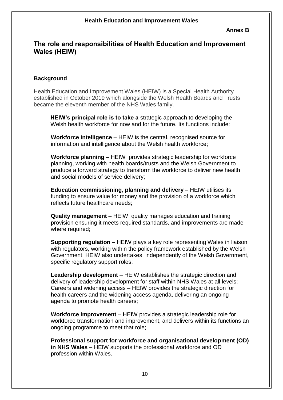#### **Annex B**

### **The role and responsibilities of Health Education and Improvement Wales (HEIW)**

#### **Background**

Health Education and Improvement Wales (HEIW) is a Special Health Authority established in October 2019 which alongside the Welsh Health Boards and Trusts became the eleventh member of the NHS Wales family.

**HEIW's principal role is to take a** strategic approach to developing the Welsh health workforce for now and for the future. Its functions include:

**Workforce intelligence** – HEIW is the central, recognised source for information and intelligence about the Welsh health workforce;

**Workforce planning** – HEIW provides strategic leadership for workforce planning, working with health boards/trusts and the Welsh Government to produce a forward strategy to transform the workforce to deliver new health and social models of service delivery;

**Education commissioning, planning and delivery – HEIW utilises its** funding to ensure value for money and the provision of a workforce which reflects future healthcare needs;

**Quality management** – HEIW quality manages education and training provision ensuring it meets required standards, and improvements are made where required;

**Supporting regulation** – HEIW plays a key role representing Wales in liaison with regulators, working within the policy framework established by the Welsh Government. HEIW also undertakes, independently of the Welsh Government, specific regulatory support roles;

**Leadership development** – HEIW establishes the strategic direction and delivery of leadership development for staff within NHS Wales at all levels; Careers and widening access – HEIW provides the strategic direction for health careers and the widening access agenda, delivering an ongoing agenda to promote health careers;

**Workforce improvement** – HEIW provides a strategic leadership role for workforce transformation and improvement, and delivers within its functions an ongoing programme to meet that role;

**Professional support for workforce and organisational development (OD) in NHS Wales** – HEIW supports the professional workforce and OD profession within Wales.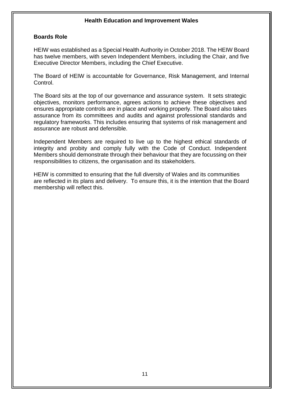#### **Boards Role**

HEIW was established as a Special Health Authority in October 2018. The HEIW Board has twelve members, with seven Independent Members, including the Chair, and five Executive Director Members, including the Chief Executive.

The Board of HEIW is accountable for Governance, Risk Management, and Internal Control.

The Board sits at the top of our governance and assurance system. It sets strategic objectives, monitors performance, agrees actions to achieve these objectives and ensures appropriate controls are in place and working properly. The Board also takes assurance from its committees and audits and against professional standards and regulatory frameworks. This includes ensuring that systems of risk management and assurance are robust and defensible.

Independent Members are required to live up to the highest ethical standards of integrity and probity and comply fully with the Code of Conduct. Independent Members should demonstrate through their behaviour that they are focussing on their responsibilities to citizens, the organisation and its stakeholders.

HEIW is committed to ensuring that the full diversity of Wales and its communities are reflected in its plans and delivery. To ensure this, it is the intention that the Board membership will reflect this.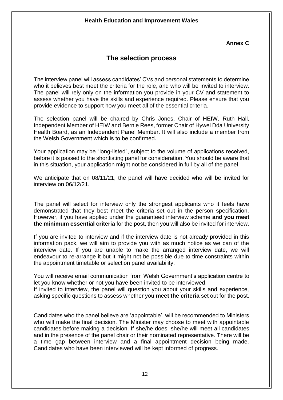#### **Annex C**

# **The selection process**

The interview panel will assess candidates' CVs and personal statements to determine who it believes best meet the criteria for the role, and who will be invited to interview. The panel will rely only on the information you provide in your CV and statement to assess whether you have the skills and experience required. Please ensure that you provide evidence to support how you meet all of the essential criteria.

The selection panel will be chaired by Chris Jones, Chair of HEIW, Ruth Hall, Independent Member of HEIW and Bernie Rees, former Chair of Hywel Dda University Health Board, as an Independent Panel Member. It will also include a member from the Welsh Government which is to be confirmed.

Your application may be "long-listed", subject to the volume of applications received, before it is passed to the shortlisting panel for consideration. You should be aware that in this situation, your application might not be considered in full by all of the panel.

We anticipate that on 08/11/21, the panel will have decided who will be invited for interview on 06/12/21.

The panel will select for interview only the strongest applicants who it feels have demonstrated that they best meet the criteria set out in the person specification. However, if you have applied under the guaranteed interview scheme **and you meet the minimum essential criteria** for the post, then you will also be invited for interview.

If you are invited to interview and if the interview date is not already provided in this information pack, we will aim to provide you with as much notice as we can of the interview date. If you are unable to make the arranged interview date, we will endeavour to re-arrange it but it might not be possible due to time constraints within the appointment timetable or selection panel availability.

You will receive email communication from Welsh Government's application centre to let you know whether or not you have been invited to be interviewed.

If invited to interview, the panel will question you about your skills and experience, asking specific questions to assess whether you **meet the criteria** set out for the post.

Candidates who the panel believe are 'appointable', will be recommended to Ministers who will make the final decision. The Minister may choose to meet with appointable candidates before making a decision. If she/he does, she/he will meet all candidates and in the presence of the panel chair or their nominated representative. There will be a time gap between interview and a final appointment decision being made. Candidates who have been interviewed will be kept informed of progress.